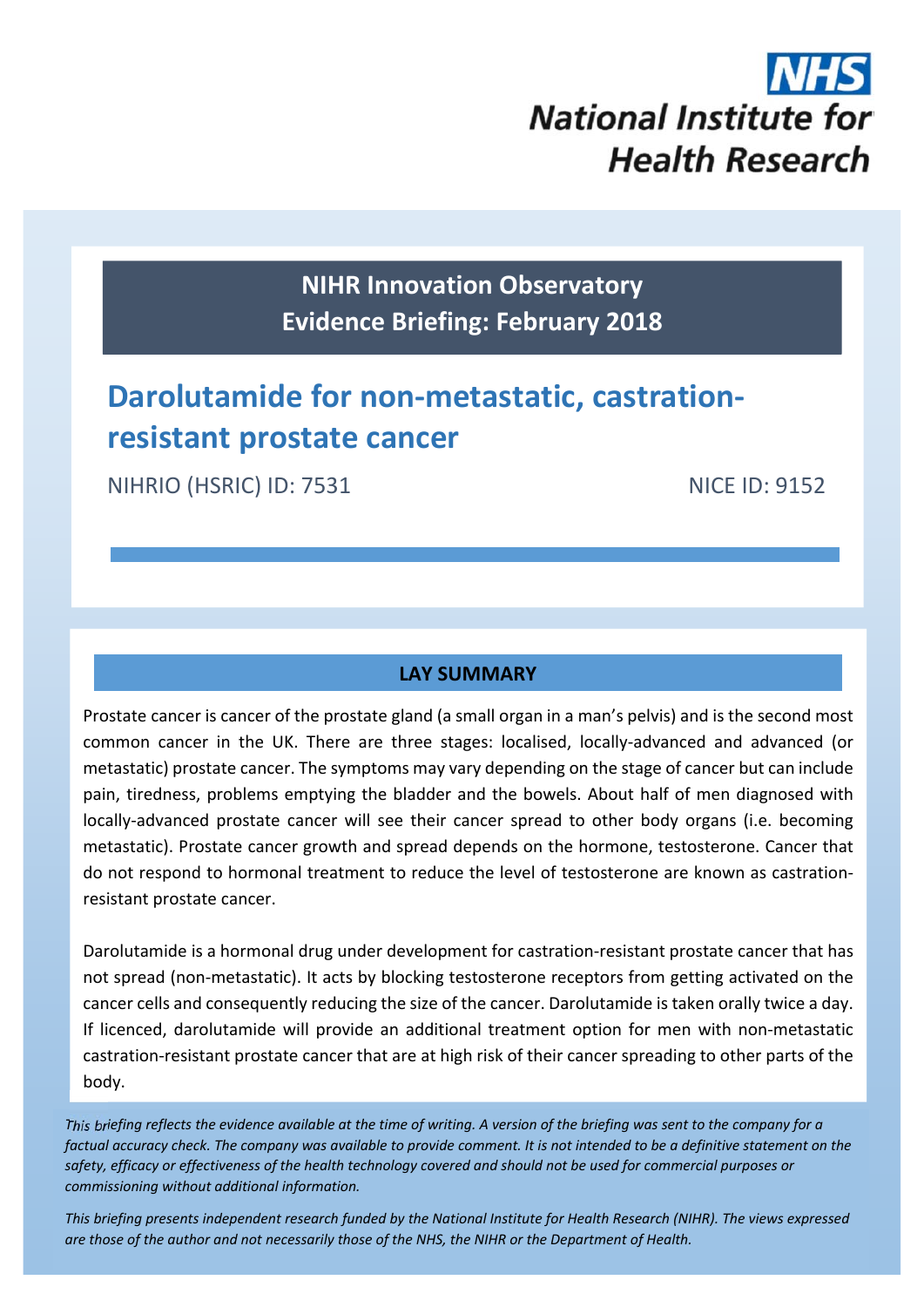

**NIHR Innovation Observatory Evidence Briefing: February 2018**

# **Darolutamide for non‐metastatic, castration‐ resistant prostate cancer**

NIHRIO (HSRIC) ID: 7531 NICE ID: 9152

# **LAY SUMMARY**

Prostate cancer is cancer of the prostate gland (a small organ in a man's pelvis) and is the second most common cancer in the UK. There are three stages: localised, locally‐advanced and advanced (or metastatic) prostate cancer. The symptoms may vary depending on the stage of cancer but can include pain, tiredness, problems emptying the bladder and the bowels. About half of men diagnosed with locally‐advanced prostate cancer will see their cancer spread to other body organs (i.e. becoming metastatic). Prostate cancer growth and spread depends on the hormone, testosterone. Cancer that do not respond to hormonal treatment to reduce the level of testosterone are known as castration‐ resistant prostate cancer.

Darolutamide is a hormonal drug under development for castration‐resistant prostate cancer that has not spread (non-metastatic). It acts by blocking testosterone receptors from getting activated on the cancer cells and consequently reducing the size of the cancer. Darolutamide is taken orally twice a day. If licenced, darolutamide will provide an additional treatment option for men with non‐metastatic castration‐resistant prostate cancer that are at high risk of their cancer spreading to other parts of the body.

This briefing reflects the evidence available at the time of writing. A version of the briefing was sent to the company for a factual accuracy check. The company was available to provide comment. It is not intended to be a definitive statement on the safety, efficacy or effectiveness of the health technology covered and should not be used for commercial purposes or *commissioning without additional information.*

This briefing presents independent research funded by the National Institute for Health Research (NIHR). The views expressea are those of the author and not necessarily those of the NHS, the NIHR or the Department of Health.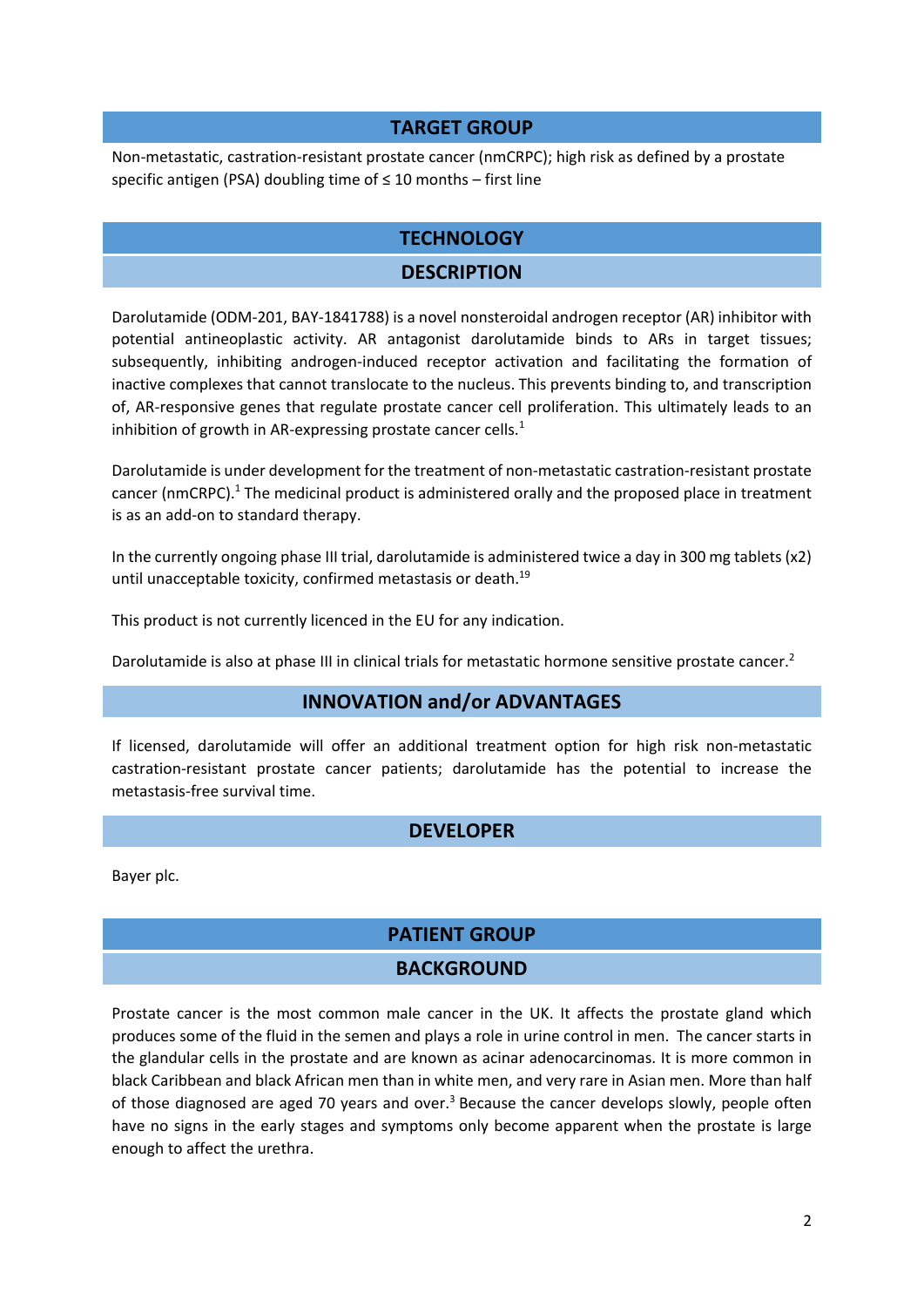#### **TARGET GROUP**

Non‐metastatic, castration‐resistant prostate cancer (nmCRPC); high risk as defined by a prostate specific antigen (PSA) doubling time of ≤ 10 months – first line

### **TECHNOLOGY**

# **DESCRIPTION**

Darolutamide (ODM‐201, BAY‐1841788) is a novel nonsteroidal androgen receptor (AR) inhibitor with potential antineoplastic activity. AR antagonist darolutamide binds to ARs in target tissues; subsequently, inhibiting androgen-induced receptor activation and facilitating the formation of inactive complexes that cannot translocate to the nucleus. This prevents binding to, and transcription of, AR‐responsive genes that regulate prostate cancer cell proliferation. This ultimately leads to an inhibition of growth in AR-expressing prostate cancer cells. $<sup>1</sup>$ </sup>

Darolutamide is under development for the treatment of non‐metastatic castration‐resistant prostate cancer (nmCRPC).1 The medicinal product is administered orally and the proposed place in treatment is as an add‐on to standard therapy.

In the currently ongoing phase III trial, darolutamide is administered twice a day in 300 mg tablets (x2) until unacceptable toxicity, confirmed metastasis or death.<sup>19</sup>

This product is not currently licenced in the EU for any indication.

Darolutamide is also at phase III in clinical trials for metastatic hormone sensitive prostate cancer.<sup>2</sup>

### **INNOVATION and/or ADVANTAGES**

If licensed, darolutamide will offer an additional treatment option for high risk non-metastatic castration‐resistant prostate cancer patients; darolutamide has the potential to increase the metastasis‐free survival time.

### **DEVELOPER**

Bayer plc.

### **PATIENT GROUP**

### **BACKGROUND**

Prostate cancer is the most common male cancer in the UK. It affects the prostate gland which produces some of the fluid in the semen and plays a role in urine control in men. The cancer starts in the glandular cells in the prostate and are known as acinar adenocarcinomas. It is more common in black Caribbean and black African men than in white men, and very rare in Asian men. More than half of those diagnosed are aged 70 years and over.<sup>3</sup> Because the cancer develops slowly, people often have no signs in the early stages and symptoms only become apparent when the prostate is large enough to affect the urethra.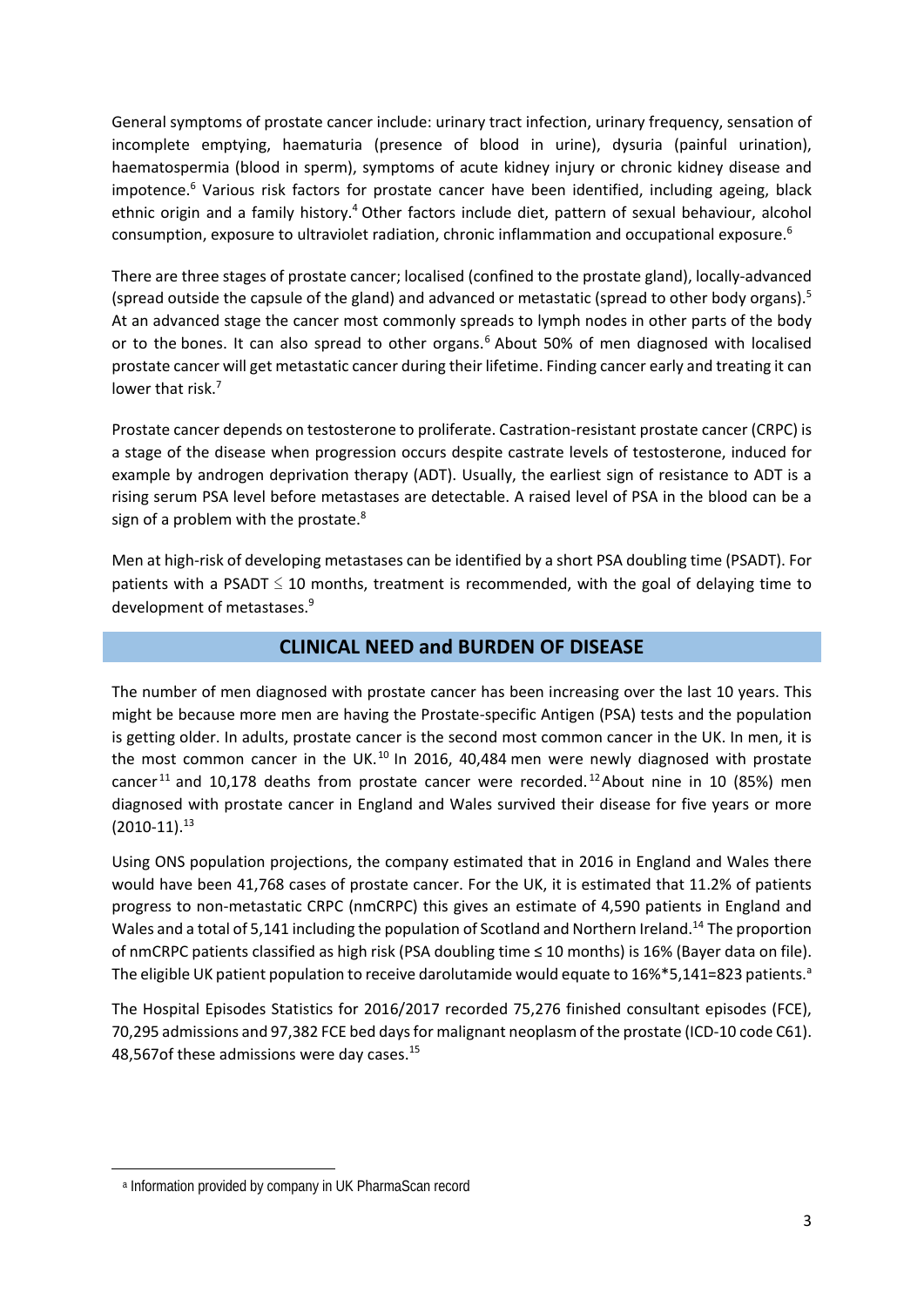General symptoms of prostate cancer include: urinary tract infection, urinary frequency, sensation of incomplete emptying, haematuria (presence of blood in urine), dysuria (painful urination), haematospermia (blood in sperm), symptoms of acute kidney injury or chronic kidney disease and impotence.<sup>6</sup> Various risk factors for prostate cancer have been identified, including ageing, black ethnic origin and a family history.<sup>4</sup> Other factors include diet, pattern of sexual behaviour, alcohol consumption, exposure to ultraviolet radiation, chronic inflammation and occupational exposure.<sup>6</sup>

There are three stages of prostate cancer; localised (confined to the prostate gland), locally‐advanced (spread outside the capsule of the gland) and advanced or metastatic (spread to other body organs).<sup>5</sup> At an advanced stage the cancer most commonly spreads to lymph nodes in other parts of the body or to the bones. It can also spread to other organs.<sup>6</sup> About 50% of men diagnosed with localised prostate cancer will get metastatic cancer during their lifetime. Finding cancer early and treating it can lower that risk.<sup>7</sup>

Prostate cancer depends on testosterone to proliferate. Castration‐resistant prostate cancer (CRPC) is a stage of the disease when progression occurs despite castrate levels of testosterone, induced for example by androgen deprivation therapy (ADT). Usually, the earliest sign of resistance to ADT is a rising serum PSA level before metastases are detectable. A raised level of PSA in the blood can be a sign of a problem with the prostate.<sup>8</sup>

Men at high-risk of developing metastases can be identified by a short PSA doubling time (PSADT). For patients with a PSADT  $\leq$  10 months, treatment is recommended, with the goal of delaying time to development of metastases.<sup>9</sup>

## **CLINICAL NEED and BURDEN OF DISEASE**

The number of men diagnosed with prostate cancer has been increasing over the last 10 years. This might be because more men are having the Prostate‐specific Antigen (PSA) tests and the population is getting older. In adults, prostate cancer is the second most common cancer in the UK. In men, it is the most common cancer in the UK.<sup>10</sup> In 2016, 40,484 men were newly diagnosed with prostate cancer<sup>11</sup> and 10,178 deaths from prostate cancer were recorded.<sup>12</sup> About nine in 10 (85%) men diagnosed with prostate cancer in England and Wales survived their disease for five years or more  $(2010-11).$ <sup>13</sup>

Using ONS population projections, the company estimated that in 2016 in England and Wales there would have been 41,768 cases of prostate cancer. For the UK, it is estimated that 11.2% of patients progress to non-metastatic CRPC (nmCRPC) this gives an estimate of 4,590 patients in England and Wales and a total of 5,141 including the population of Scotland and Northern Ireland.<sup>14</sup> The proportion of nmCRPC patients classified as high risk (PSA doubling time ≤ 10 months) is 16% (Bayer data on file). The eligible UK patient population to receive darolutamide would equate to 16%\*5,141=823 patients.<sup>a</sup>

The Hospital Episodes Statistics for 2016/2017 recorded 75,276 finished consultant episodes (FCE), 70,295 admissions and 97,382 FCE bed daysfor malignant neoplasm of the prostate (ICD‐10 code C61). 48,567of these admissions were day cases.<sup>15</sup>

a Information provided by company in UK PharmaScan record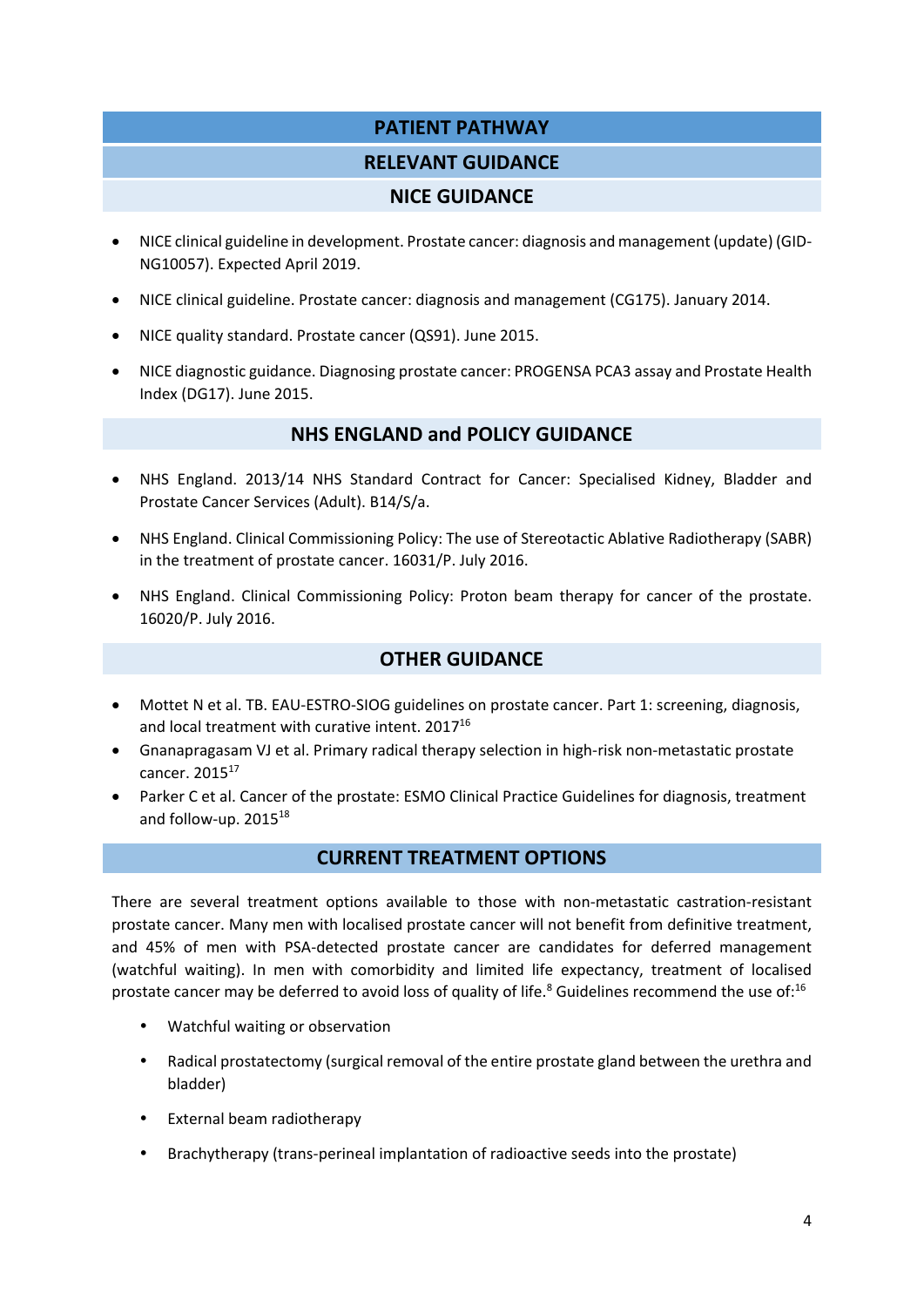# **PATIENT PATHWAY**

### **RELEVANT GUIDANCE**

#### **NICE GUIDANCE**

- NICE clinical guideline in development. Prostate cancer: diagnosis and management (update) (GID‐ NG10057). Expected April 2019.
- NICE clinical guideline. Prostate cancer: diagnosis and management (CG175). January 2014.
- NICE quality standard. Prostate cancer (QS91). June 2015.
- NICE diagnostic guidance. Diagnosing prostate cancer: PROGENSA PCA3 assay and Prostate Health Index (DG17). June 2015.

#### **NHS ENGLAND and POLICY GUIDANCE**

- NHS England. 2013/14 NHS Standard Contract for Cancer: Specialised Kidney, Bladder and Prostate Cancer Services (Adult). B14/S/a.
- NHS England. Clinical Commissioning Policy: The use of Stereotactic Ablative Radiotherapy (SABR) in the treatment of prostate cancer. 16031/P. July 2016.
- NHS England. Clinical Commissioning Policy: Proton beam therapy for cancer of the prostate. 16020/P. July 2016.

## **OTHER GUIDANCE**

- Mottet N et al. TB. EAU-ESTRO-SIOG guidelines on prostate cancer. Part 1: screening, diagnosis, and local treatment with curative intent. 2017<sup>16</sup>
- Gnanapragasam VJ et al. Primary radical therapy selection in high-risk non-metastatic prostate cancer. 201517
- Parker C et al. Cancer of the prostate: ESMO Clinical Practice Guidelines for diagnosis, treatment and follow-up. 2015<sup>18</sup>

#### **CURRENT TREATMENT OPTIONS**

There are several treatment options available to those with non-metastatic castration-resistant prostate cancer. Many men with localised prostate cancer will not benefit from definitive treatment, and 45% of men with PSA‐detected prostate cancer are candidates for deferred management (watchful waiting). In men with comorbidity and limited life expectancy, treatment of localised prostate cancer may be deferred to avoid loss of quality of life.<sup>8</sup> Guidelines recommend the use of:<sup>16</sup>

- Watchful waiting or observation
- Radical prostatectomy (surgical removal of the entire prostate gland between the urethra and bladder)
- External beam radiotherapy
- Brachytherapy (trans‐perineal implantation of radioactive seeds into the prostate)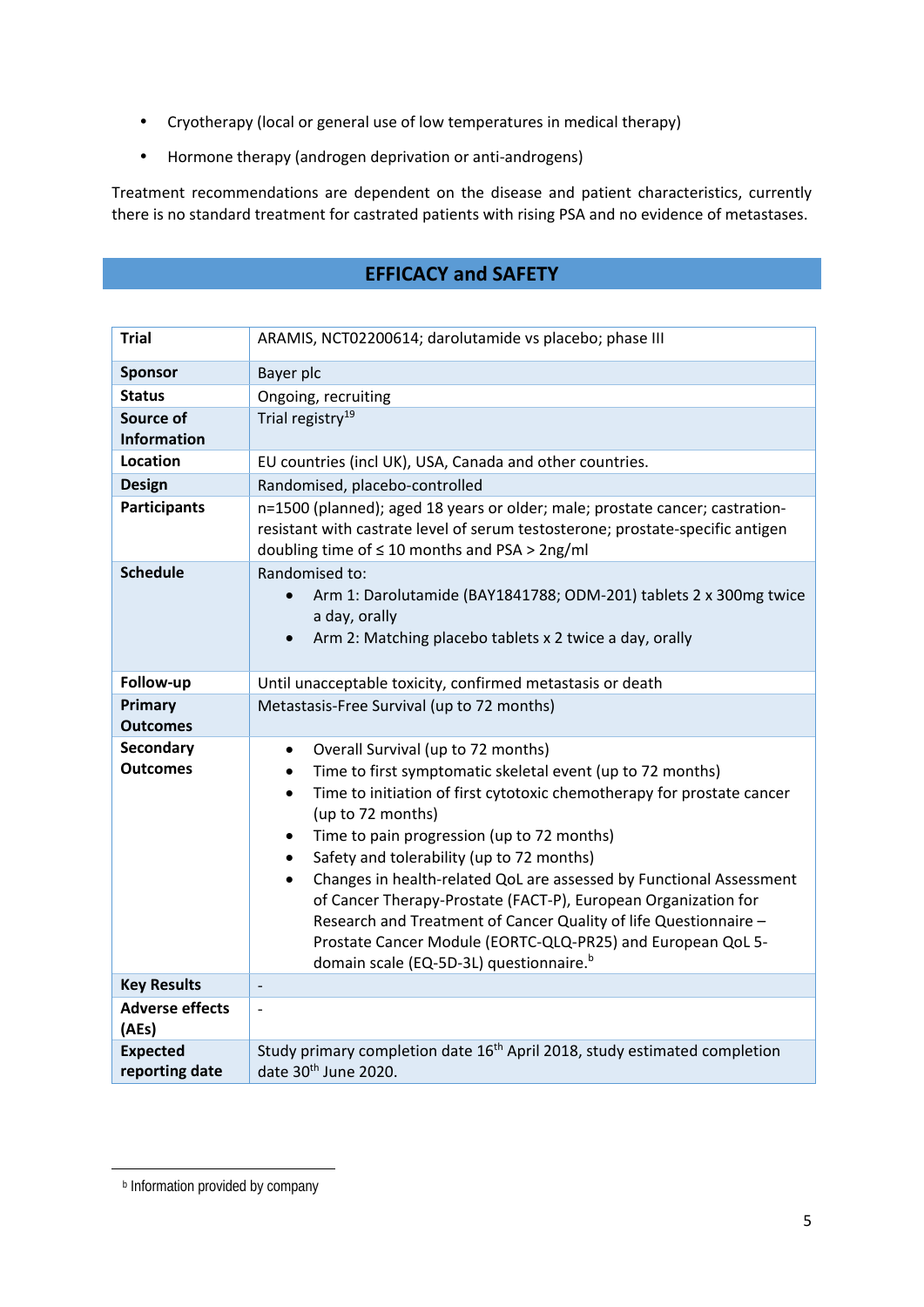- Cryotherapy (local or general use of low temperatures in medical therapy)
- Hormone therapy (androgen deprivation or anti-androgens)

Treatment recommendations are dependent on the disease and patient characteristics, currently there is no standard treatment for castrated patients with rising PSA and no evidence of metastases.

# **EFFICACY and SAFETY**

| <b>Trial</b>                      | ARAMIS, NCT02200614; darolutamide vs placebo; phase III                                                                                                                                                                                                                                                                                                                                                                                                                                                                                                                                                                                                                                             |  |  |
|-----------------------------------|-----------------------------------------------------------------------------------------------------------------------------------------------------------------------------------------------------------------------------------------------------------------------------------------------------------------------------------------------------------------------------------------------------------------------------------------------------------------------------------------------------------------------------------------------------------------------------------------------------------------------------------------------------------------------------------------------------|--|--|
| <b>Sponsor</b>                    | Bayer plc                                                                                                                                                                                                                                                                                                                                                                                                                                                                                                                                                                                                                                                                                           |  |  |
| <b>Status</b>                     | Ongoing, recruiting                                                                                                                                                                                                                                                                                                                                                                                                                                                                                                                                                                                                                                                                                 |  |  |
| Source of<br><b>Information</b>   | Trial registry <sup>19</sup>                                                                                                                                                                                                                                                                                                                                                                                                                                                                                                                                                                                                                                                                        |  |  |
| <b>Location</b>                   | EU countries (incl UK), USA, Canada and other countries.                                                                                                                                                                                                                                                                                                                                                                                                                                                                                                                                                                                                                                            |  |  |
| <b>Design</b>                     | Randomised, placebo-controlled                                                                                                                                                                                                                                                                                                                                                                                                                                                                                                                                                                                                                                                                      |  |  |
| <b>Participants</b>               | n=1500 (planned); aged 18 years or older; male; prostate cancer; castration-<br>resistant with castrate level of serum testosterone; prostate-specific antigen<br>doubling time of $\leq 10$ months and PSA > 2ng/ml                                                                                                                                                                                                                                                                                                                                                                                                                                                                                |  |  |
| <b>Schedule</b>                   | Randomised to:<br>Arm 1: Darolutamide (BAY1841788; ODM-201) tablets 2 x 300mg twice<br>a day, orally<br>Arm 2: Matching placebo tablets x 2 twice a day, orally<br>$\bullet$                                                                                                                                                                                                                                                                                                                                                                                                                                                                                                                        |  |  |
| Follow-up                         | Until unacceptable toxicity, confirmed metastasis or death                                                                                                                                                                                                                                                                                                                                                                                                                                                                                                                                                                                                                                          |  |  |
| Primary<br><b>Outcomes</b>        | Metastasis-Free Survival (up to 72 months)                                                                                                                                                                                                                                                                                                                                                                                                                                                                                                                                                                                                                                                          |  |  |
| Secondary<br>Outcomes             | Overall Survival (up to 72 months)<br>$\bullet$<br>Time to first symptomatic skeletal event (up to 72 months)<br>٠<br>Time to initiation of first cytotoxic chemotherapy for prostate cancer<br>$\bullet$<br>(up to 72 months)<br>Time to pain progression (up to 72 months)<br>$\bullet$<br>Safety and tolerability (up to 72 months)<br>$\bullet$<br>Changes in health-related QoL are assessed by Functional Assessment<br>$\bullet$<br>of Cancer Therapy-Prostate (FACT-P), European Organization for<br>Research and Treatment of Cancer Quality of life Questionnaire -<br>Prostate Cancer Module (EORTC-QLQ-PR25) and European QoL 5-<br>domain scale (EQ-5D-3L) questionnaire. <sup>b</sup> |  |  |
| <b>Key Results</b>                |                                                                                                                                                                                                                                                                                                                                                                                                                                                                                                                                                                                                                                                                                                     |  |  |
| <b>Adverse effects</b><br>(AEs)   | $\overline{\phantom{a}}$                                                                                                                                                                                                                                                                                                                                                                                                                                                                                                                                                                                                                                                                            |  |  |
| <b>Expected</b><br>reporting date | Study primary completion date 16 <sup>th</sup> April 2018, study estimated completion<br>date 30 <sup>th</sup> June 2020.                                                                                                                                                                                                                                                                                                                                                                                                                                                                                                                                                                           |  |  |

 **b** Information provided by company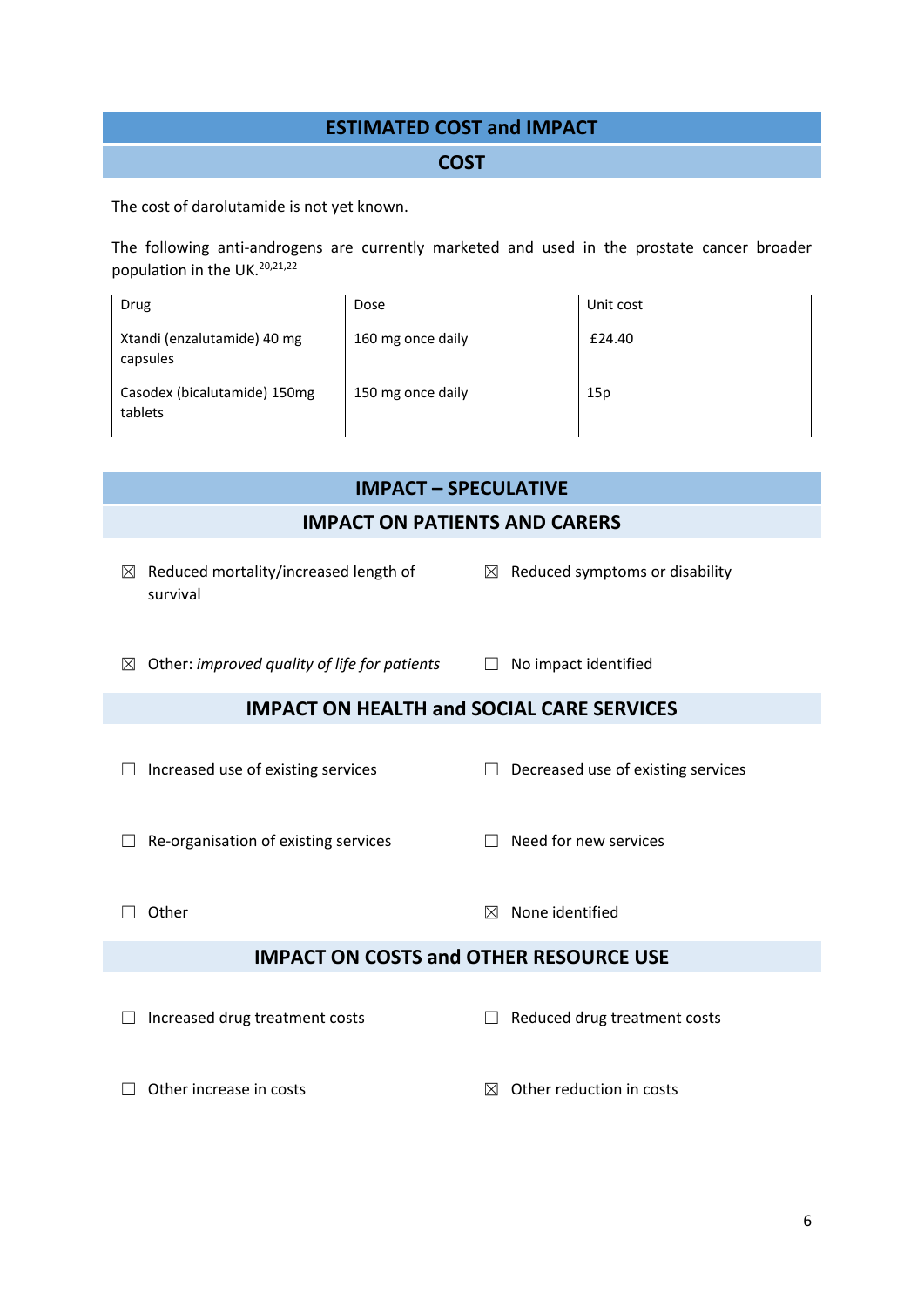# **ESTIMATED COST and IMPACT**

#### **COST**

The cost of darolutamide is not yet known.

The following anti-androgens are currently marketed and used in the prostate cancer broader population in the UK.20,21,22

| Drug                                    | Dose              | Unit cost |
|-----------------------------------------|-------------------|-----------|
| Xtandi (enzalutamide) 40 mg<br>capsules | 160 mg once daily | £24.40    |
| Casodex (bicalutamide) 150mg<br>tablets | 150 mg once daily | 15p       |

| <b>IMPACT - SPECULATIVE</b>                                   |                                            |  |  |  |
|---------------------------------------------------------------|--------------------------------------------|--|--|--|
| <b>IMPACT ON PATIENTS AND CARERS</b>                          |                                            |  |  |  |
| $\boxtimes$ Reduced mortality/increased length of<br>survival | $\boxtimes$ Reduced symptoms or disability |  |  |  |
| Other: improved quality of life for patients<br>$\boxtimes$   | No impact identified<br>$\perp$            |  |  |  |
| <b>IMPACT ON HEALTH and SOCIAL CARE SERVICES</b>              |                                            |  |  |  |
| Increased use of existing services                            | Decreased use of existing services         |  |  |  |
| Re-organisation of existing services                          | Need for new services                      |  |  |  |
| Other                                                         | None identified<br>⊠                       |  |  |  |
| <b>IMPACT ON COSTS and OTHER RESOURCE USE</b>                 |                                            |  |  |  |
| Increased drug treatment costs                                | Reduced drug treatment costs               |  |  |  |
| Other increase in costs                                       | Other reduction in costs<br>$\mathbb{X}$   |  |  |  |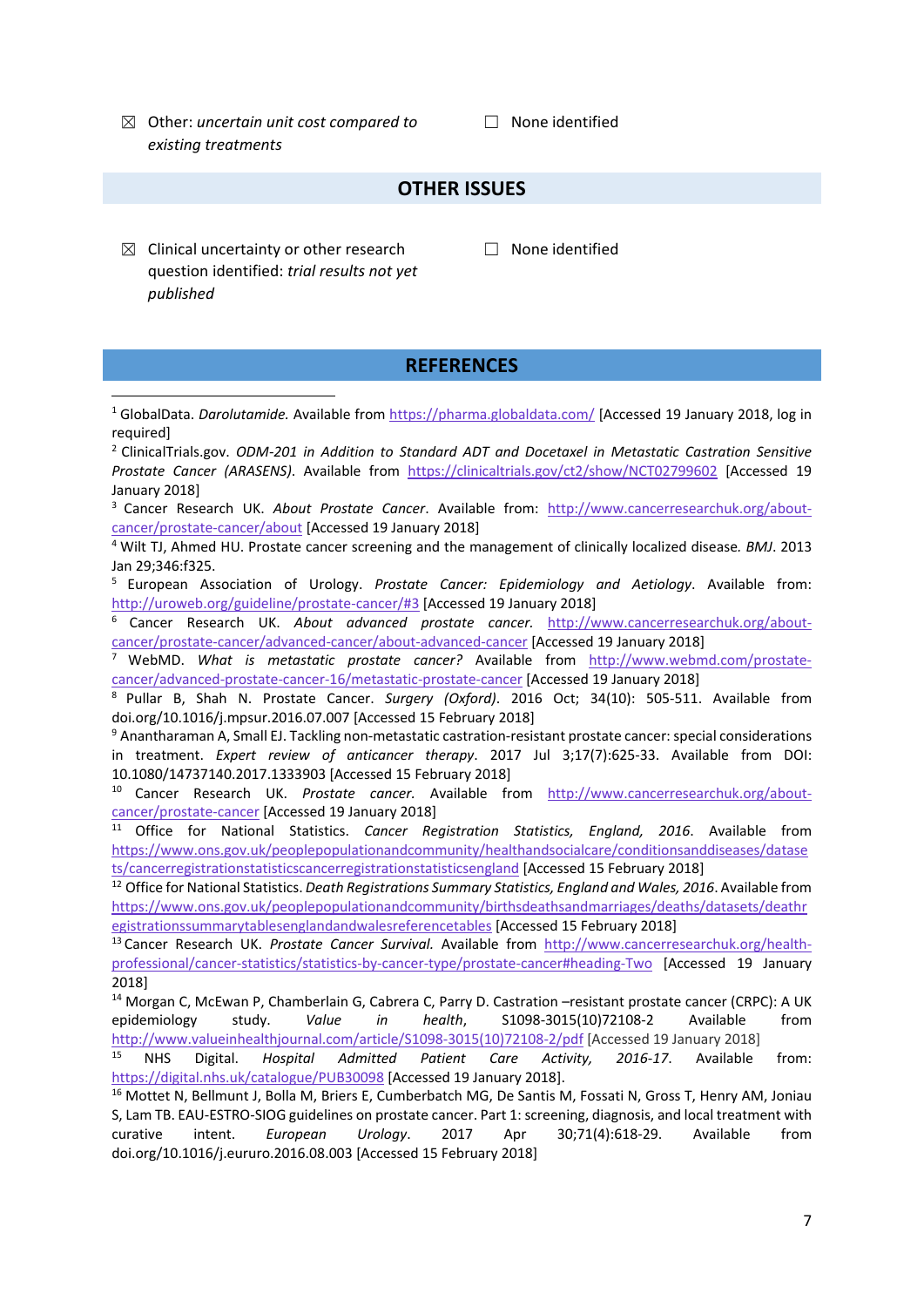☒ Other: *uncertain unit cost compared to existing treatments* 

☐ None identified

## **OTHER ISSUES**

 $\boxtimes$  Clinical uncertainty or other research question identified: *trial results not yet published* 

☐ None identified

#### **REFERENCES**

<sup>1</sup> GlobalData. *Darolutamide.* Available from https://pharma.globaldata.com/ [Accessed 19 January 2018, log in required]

<sup>2</sup> ClinicalTrials.gov. *ODM‐201 in Addition to Standard ADT and Docetaxel in Metastatic Castration Sensitive Prostate Cancer (ARASENS)*. Available from https://clinicaltrials.gov/ct2/show/NCT02799602 [Accessed 19 January 2018]

<sup>3</sup> Cancer Research UK. *About Prostate Cancer*. Available from: http://www.cancerresearchuk.org/about‐ cancer/prostate‐cancer/about [Accessed 19 January 2018]

<sup>4</sup> Wilt TJ, Ahmed HU. Prostate cancer screening and the management of clinically localized disease*. BMJ*. 2013 Jan 29;346:f325.

<sup>5</sup> European Association of Urology. *Prostate Cancer: Epidemiology and Aetiology*. Available from: http://uroweb.org/guideline/prostate‐cancer/#3 [Accessed 19 January 2018]

<sup>6</sup> Cancer Research UK. *About advanced prostate cancer.* http://www.cancerresearchuk.org/about‐ cancer/prostate‐cancer/advanced‐cancer/about‐advanced‐cancer [Accessed 19 January 2018]

<sup>7</sup> WebMD. *What is metastatic prostate cancer?* Available from http://www.webmd.com/prostate‐ cancer/advanced‐prostate‐cancer‐16/metastatic‐prostate‐cancer [Accessed 19 January 2018]

<sup>8</sup> Pullar B, Shah N. Prostate Cancer. *Surgery (Oxford)*. 2016 Oct; 34(10): 505‐511. Available from doi.org/10.1016/j.mpsur.2016.07.007 [Accessed 15 February 2018]

9 Anantharaman A, Small EJ. Tackling non-metastatic castration-resistant prostate cancer: special considerations in treatment. *Expert review of anticancer therapy*. 2017 Jul 3;17(7):625‐33. Available from DOI: 10.1080/14737140.2017.1333903 [Accessed 15 February 2018]

<sup>10</sup> Cancer Research UK. *Prostate cancer*. Available from http://www.cancerresearchuk.org/aboutcancer/prostate‐cancer [Accessed 19 January 2018]

<sup>11</sup> Office for National Statistics. *Cancer Registration Statistics, England, 2016*. Available from https://www.ons.gov.uk/peoplepopulationandcommunity/healthandsocialcare/conditionsanddiseases/datase ts/cancerregistrationstatisticscancerregistrationstatisticsengland [Accessed 15 February 2018]

<sup>12</sup> Office for National Statistics. *Death Registrations Summary Statistics, England and Wales, 2016*. Available from https://www.ons.gov.uk/peoplepopulationandcommunity/birthsdeathsandmarriages/deaths/datasets/deathr egistrationssummarytablesenglandandwalesreferencetables [Accessed 15 February 2018]

<sup>13</sup> Cancer Research UK. *Prostate Cancer Survival.* Available from http://www.cancerresearchuk.org/health‐ professional/cancer‐statistics/statistics‐by‐cancer‐type/prostate‐cancer#heading‐Two [Accessed 19 January 2018]

<sup>14</sup> Morgan C, McEwan P, Chamberlain G, Cabrera C, Parry D. Castration -resistant prostate cancer (CRPC): A UK epidemiology study. *Value in health*, S1098‐3015(10)72108‐2 Available from http://www.valueinhealthjournal.com/article/S1098-3015(10)72108-2/pdf [Accessed 19 January 2018]

<sup>15</sup> NHS Digital. *Hospital Admitted Patient Care Activity, 2016‐17*. Available from: https://digital.nhs.uk/catalogue/PUB30098 [Accessed 19 January 2018].

<sup>16</sup> Mottet N, Bellmunt J, Bolla M, Briers E, Cumberbatch MG, De Santis M, Fossati N, Gross T, Henry AM, Joniau S, Lam TB. EAU‐ESTRO‐SIOG guidelines on prostate cancer. Part 1: screening, diagnosis, and local treatment with curative intent. *European Urology*. 2017 Apr 30;71(4):618‐29. Available from doi.org/10.1016/j.eururo.2016.08.003 [Accessed 15 February 2018]